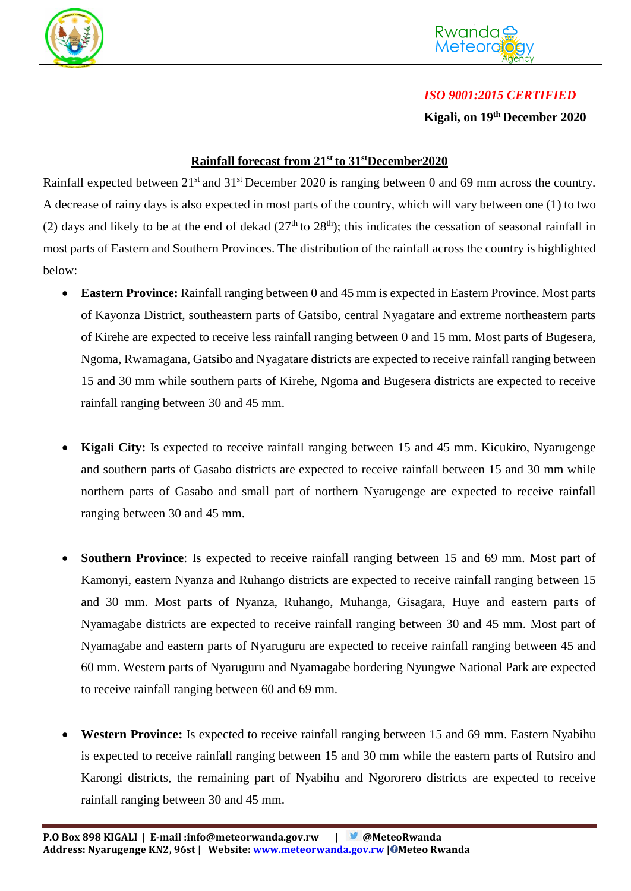



## *ISO 9001:2015 CERTIFIED*

**Kigali, on 19th December 2020**

## **Rainfall forecast from 21st to 31stDecember2020**

Rainfall expected between 21<sup>st</sup> and 31<sup>st</sup> December 2020 is ranging between 0 and 69 mm across the country. A decrease of rainy days is also expected in most parts of the country, which will vary between one (1) to two (2) days and likely to be at the end of dekad  $(27<sup>th</sup>$  to  $28<sup>th</sup>)$ ; this indicates the cessation of seasonal rainfall in most parts of Eastern and Southern Provinces. The distribution of the rainfall across the country is highlighted below:

- **Eastern Province:** Rainfall ranging between 0 and 45 mm is expected in Eastern Province. Most parts of Kayonza District, southeastern parts of Gatsibo, central Nyagatare and extreme northeastern parts of Kirehe are expected to receive less rainfall ranging between 0 and 15 mm. Most parts of Bugesera, Ngoma, Rwamagana, Gatsibo and Nyagatare districts are expected to receive rainfall ranging between 15 and 30 mm while southern parts of Kirehe, Ngoma and Bugesera districts are expected to receive rainfall ranging between 30 and 45 mm.
- **Kigali City:** Is expected to receive rainfall ranging between 15 and 45 mm. Kicukiro, Nyarugenge and southern parts of Gasabo districts are expected to receive rainfall between 15 and 30 mm while northern parts of Gasabo and small part of northern Nyarugenge are expected to receive rainfall ranging between 30 and 45 mm.
- **Southern Province**: Is expected to receive rainfall ranging between 15 and 69 mm. Most part of Kamonyi, eastern Nyanza and Ruhango districts are expected to receive rainfall ranging between 15 and 30 mm. Most parts of Nyanza, Ruhango, Muhanga, Gisagara, Huye and eastern parts of Nyamagabe districts are expected to receive rainfall ranging between 30 and 45 mm. Most part of Nyamagabe and eastern parts of Nyaruguru are expected to receive rainfall ranging between 45 and 60 mm. Western parts of Nyaruguru and Nyamagabe bordering Nyungwe National Park are expected to receive rainfall ranging between 60 and 69 mm.
- **Western Province:** Is expected to receive rainfall ranging between 15 and 69 mm. Eastern Nyabihu is expected to receive rainfall ranging between 15 and 30 mm while the eastern parts of Rutsiro and Karongi districts, the remaining part of Nyabihu and Ngororero districts are expected to receive rainfall ranging between 30 and 45 mm.